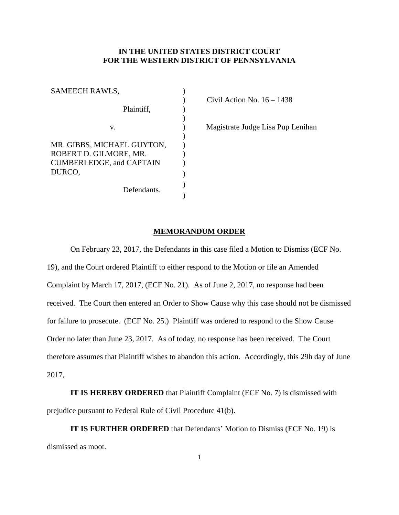## **IN THE UNITED STATES DISTRICT COURT FOR THE WESTERN DISTRICT OF PENNSYLVANIA**

| SAMEECH RAWLS,                                       |  |
|------------------------------------------------------|--|
|                                                      |  |
| Plaintiff.                                           |  |
|                                                      |  |
| v.                                                   |  |
|                                                      |  |
| MR. GIBBS, MICHAEL GUYTON,<br>ROBERT D. GILMORE, MR. |  |
| <b>CUMBERLEDGE, and CAPTAIN</b>                      |  |
| DURCO,                                               |  |
|                                                      |  |
| Defendants.                                          |  |
|                                                      |  |

Civil Action No.  $16 - 1438$ 

) Magistrate Judge Lisa Pup Lenihan

## **MEMORANDUM ORDER**

On February 23, 2017, the Defendants in this case filed a Motion to Dismiss (ECF No. 19), and the Court ordered Plaintiff to either respond to the Motion or file an Amended Complaint by March 17, 2017, (ECF No. 21). As of June 2, 2017, no response had been received. The Court then entered an Order to Show Cause why this case should not be dismissed for failure to prosecute. (ECF No. 25.) Plaintiff was ordered to respond to the Show Cause Order no later than June 23, 2017. As of today, no response has been received. The Court therefore assumes that Plaintiff wishes to abandon this action. Accordingly, this 29h day of June 2017,

**IT IS HEREBY ORDERED** that Plaintiff Complaint (ECF No. 7) is dismissed with prejudice pursuant to Federal Rule of Civil Procedure 41(b).

**IT IS FURTHER ORDERED** that Defendants' Motion to Dismiss (ECF No. 19) is dismissed as moot.